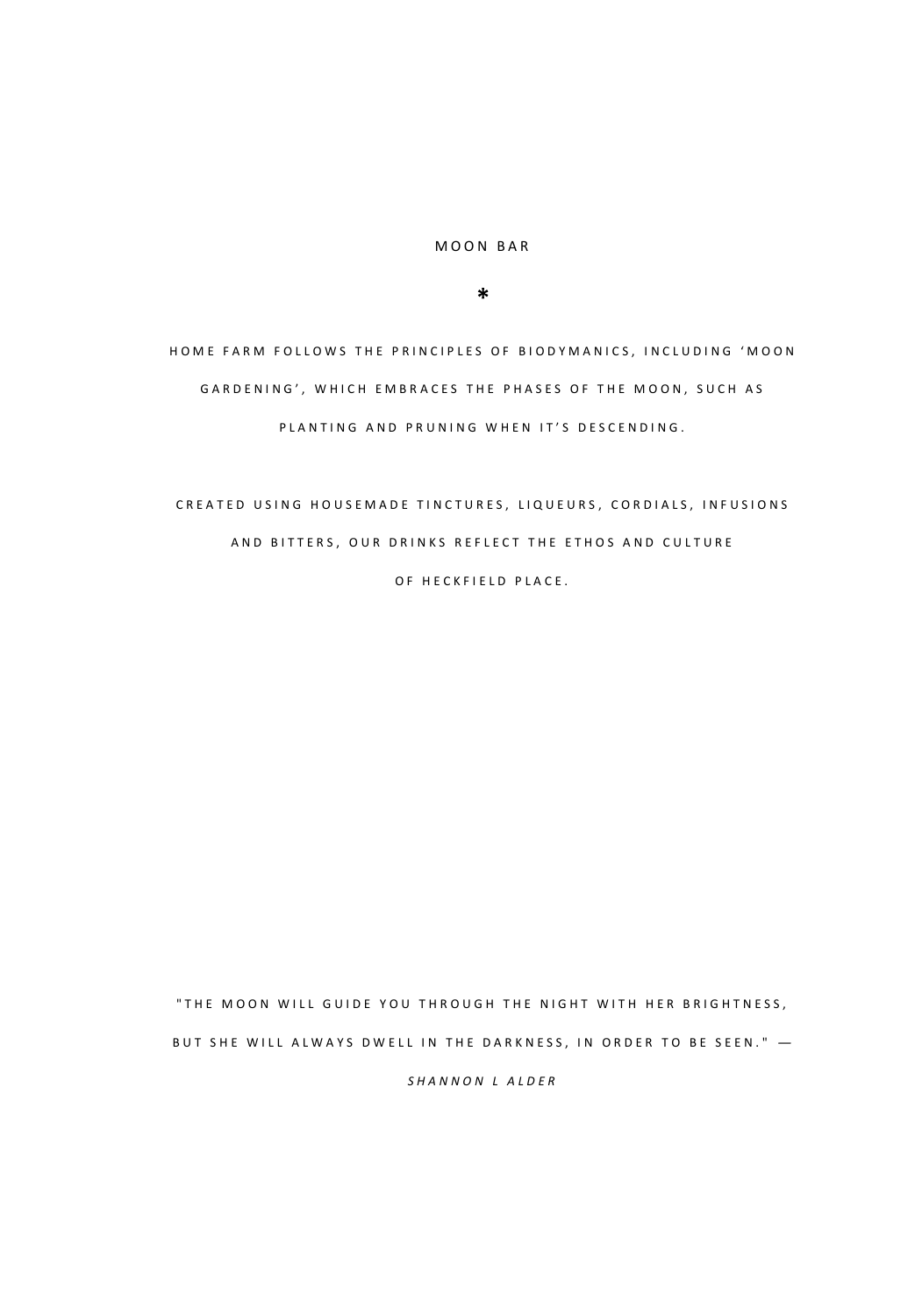M O O N B A R

 $\star$ 

HOME FARM FOLLOWS THE PRINCIPLES OF BIODYMANICS, INCLUDING 'MOON GARDENING', WHICH EMBRACES THE PHASES OF THE MOON, SUCH AS PLANTING AND PRUNING WHEN IT'S DESCENDING.

# C R E A T E D USING HOUSEMADE TINCTURES, LIQUEURS, CORDIALS, INFUSIONS AND BITTERS, OUR DRINKS REFLECT THE ETHOS AND CULTURE OF HECKFIELD PLACE.

" THE MOON WILL GUIDE YOU THROUGH THE NIGHT WITH HER BRIGHTNESS, B UT SHE WILL ALWAYS DWELL IN THE DARKNESS, IN ORDER TO BE SEEN."  $-$ 

*S H A N N O N L A L D E R*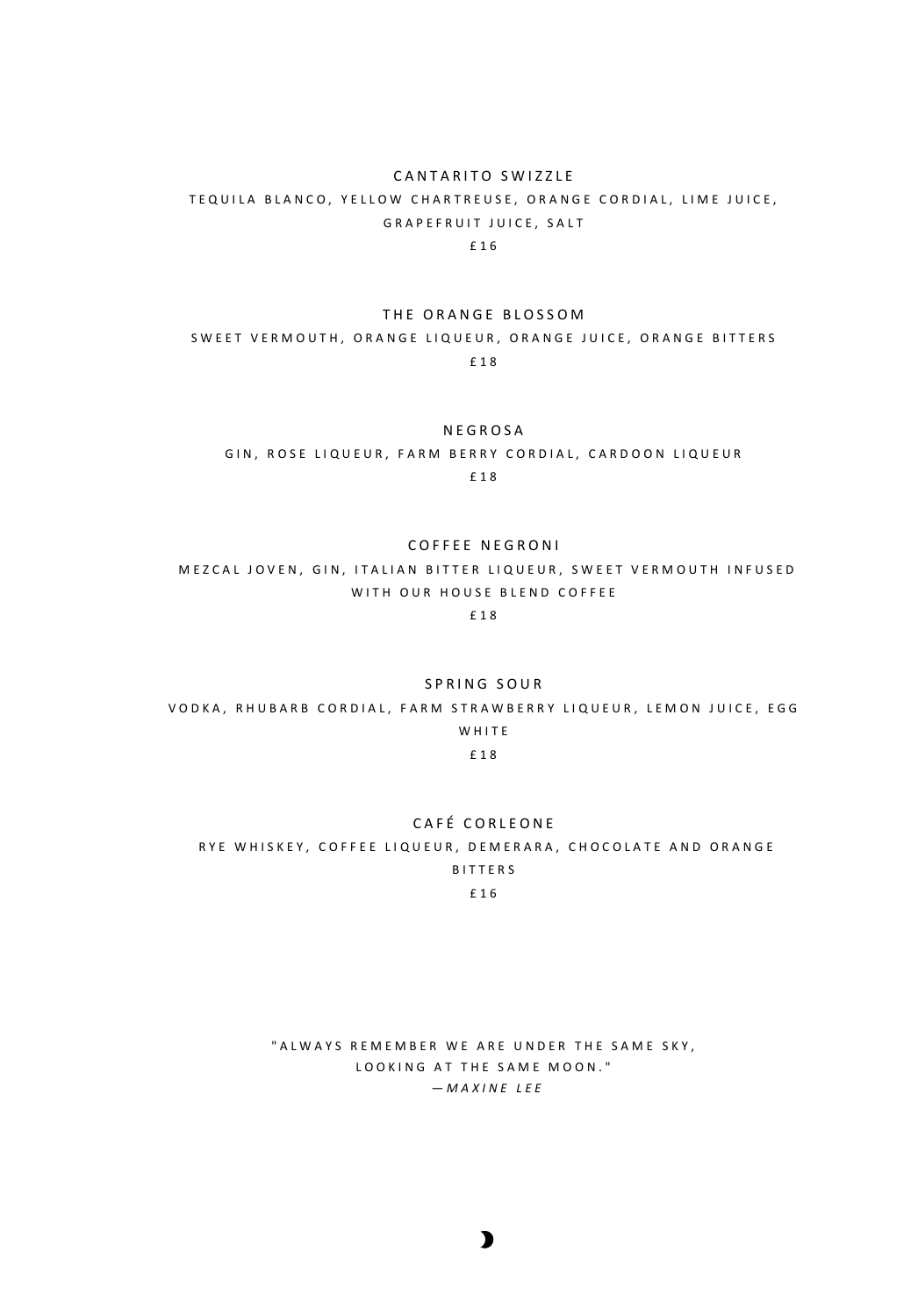## CANTARITO SWIZZLE TEQUILA BLANCO, YELLOW CHARTREUSE, ORANGE CORDIAL, LIME JUICE, GRAPEFRUIT JUICE, SALT

£ 1 6

#### THE ORANGE BLOSSOM

SWEET VERMOUTH, ORANGE LIQUEUR, ORANGE JUICE, ORANGE BITTERS £ 1 8

**NEGROSA** 

GIN, ROSE LIQUEUR, FARM BERRY CORDIAL, CARDOON LIQUEUR £ 1 8

COFFEE NEGRONI

M EZ CAL JOVEN, GIN, ITALIAN BITTER LIQUEUR, SWEET VERMOUTH INFUSED WITH OUR HOUSE BLEND COFFEE

£ 1 8

SPRING SOUR

VODKA, RHUBARB CORDIAL, FARM STRAWBERRY LIQUEUR, LEMON JUICE, EGG WHITE

£ 1 8

## CAFÉ CORLEONE RYE WHISKEY, COFFEE LIQUEUR, DEMERARA, CHOCOLATE AND ORANGE B I T T E R S £ 1 6

" A L W A Y S R E M E M B E R W E A R E U N D E R T H E S A M E S K Y , LOOKING AT THE SAME MOON." *— M A X I N E L E E*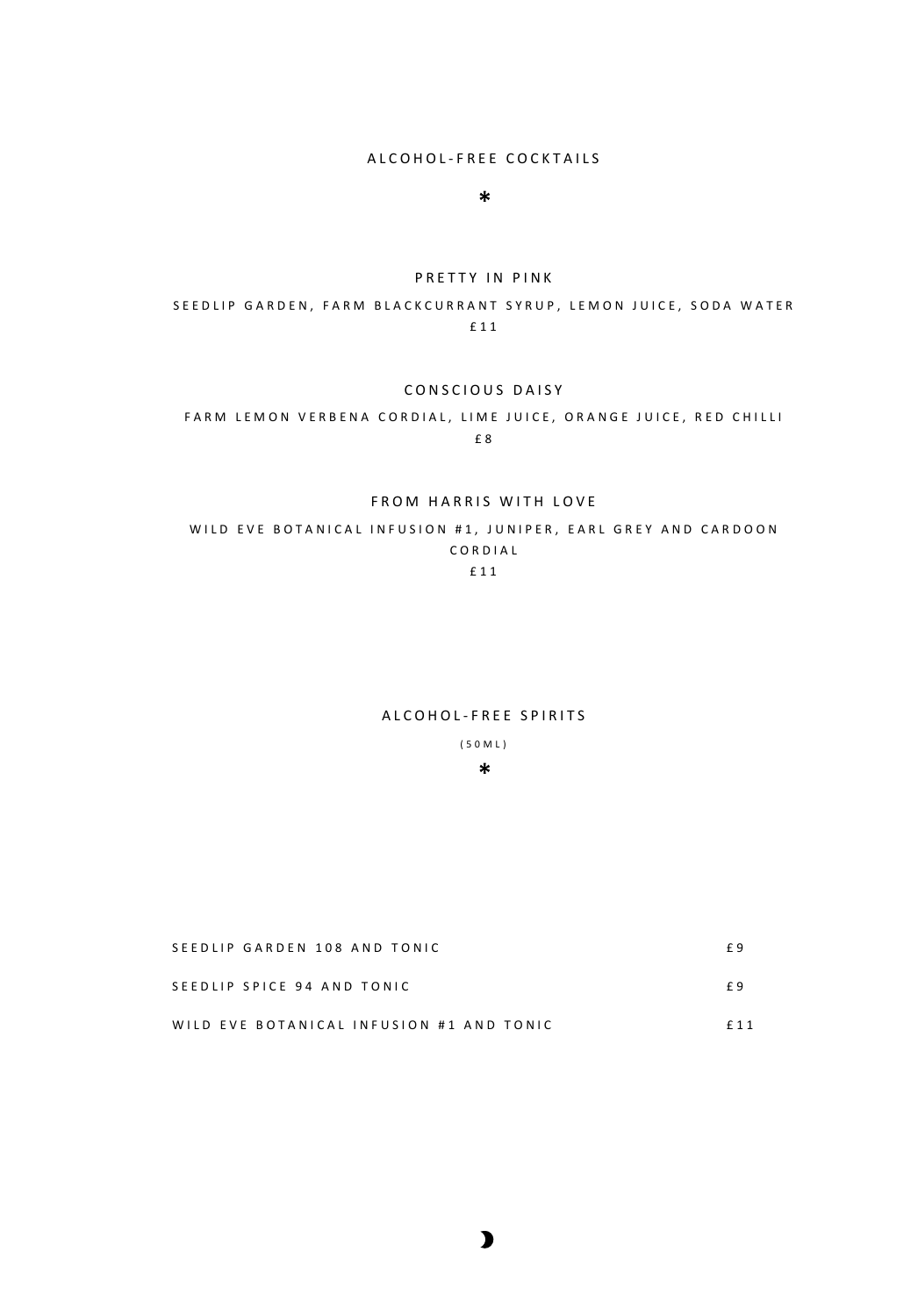#### A L C O H O L - F R E E C O C K T A I L S

 $\ast$ 

#### P R E T T Y IN PINK

SEEDLIP GARDEN, FARM BLACKCURRANT SYRUP, LEMON JUICE, SODA WATER £ 1 1

### CONSCIOUS DAISY

### FARM LEMON VERBENA CORDIAL, LIME JUICE, ORANGE JUICE, RED CHILLI £ 8

#### FROM HARRIS WITH LOVE

WILD EVE BOTANICAL INFUSION #1, JUNIPER, EARL GREY AND CARDOON C O R D I A L £ 1 1

#### A L C O H O L - F R E E S P I R I T S

( 5 0 M L )  $\ast$ 

| SEEDLIP GARDEN 108 AND TONIC             |       |
|------------------------------------------|-------|
| SEEDLIP SPICE 94 AND TONIC               | f 9   |
| WILD EVE BOTANICAL INFUSION #1 AND TONIC | f 1 1 |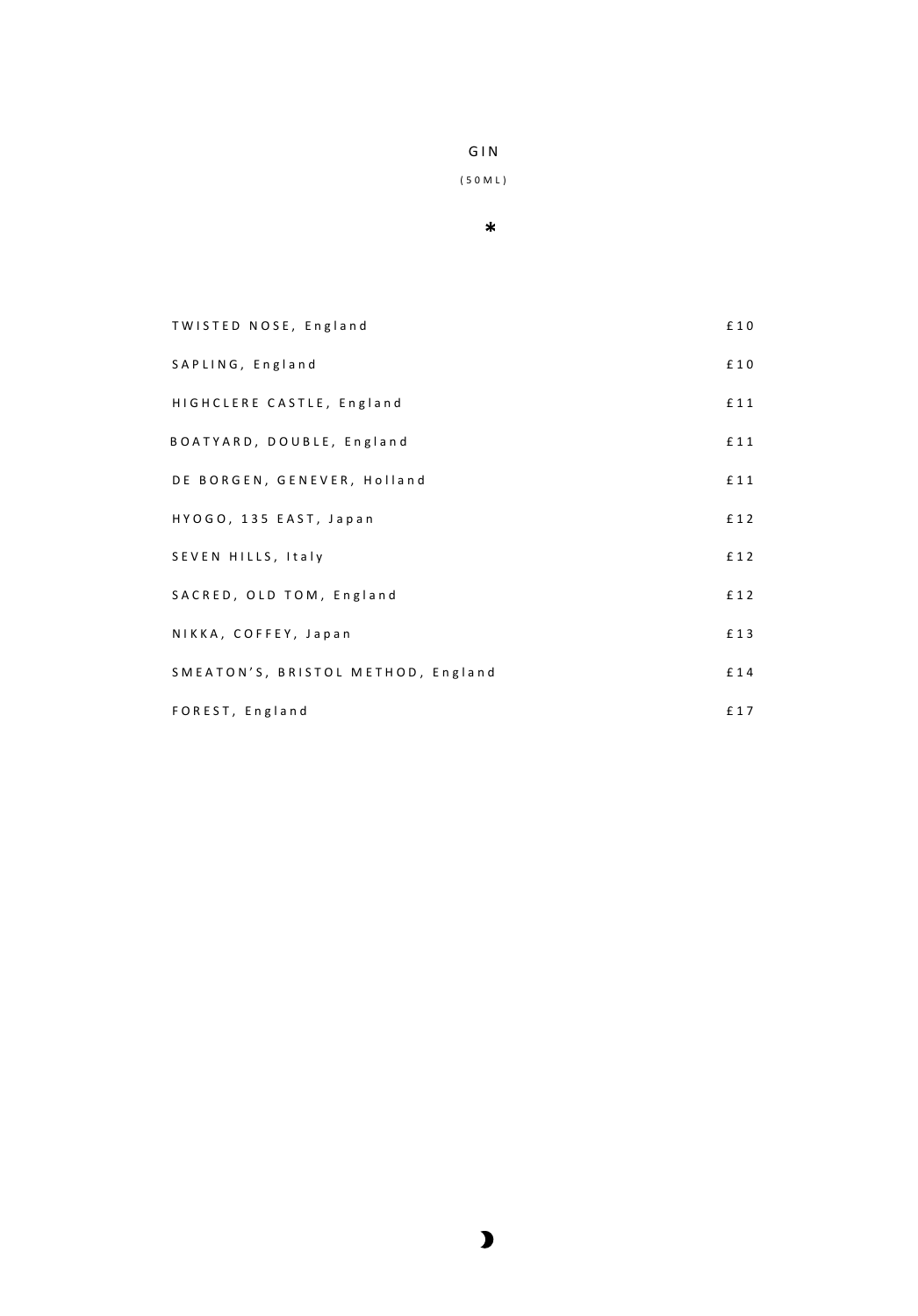G I N

( 5 0 M L )

 $\ast$ 

| TWISTED NOSE, England              | £10 |
|------------------------------------|-----|
| SAPLING, England                   | £10 |
| HIGHCLERE CASTLE, England          | £11 |
| BOATYARD, DOUBLE, England          | £11 |
| DE BORGEN, GENEVER, Holland        | £11 |
| HYOGO, 135 EAST, Japan             | £12 |
| SEVEN HILLS, Italy                 | £12 |
| SACRED, OLD TOM, England           | £12 |
| NIKKA, COFFEY, Japan               | £13 |
| SMEATON'S, BRISTOL METHOD, England | £14 |
| FOREST, England                    | £17 |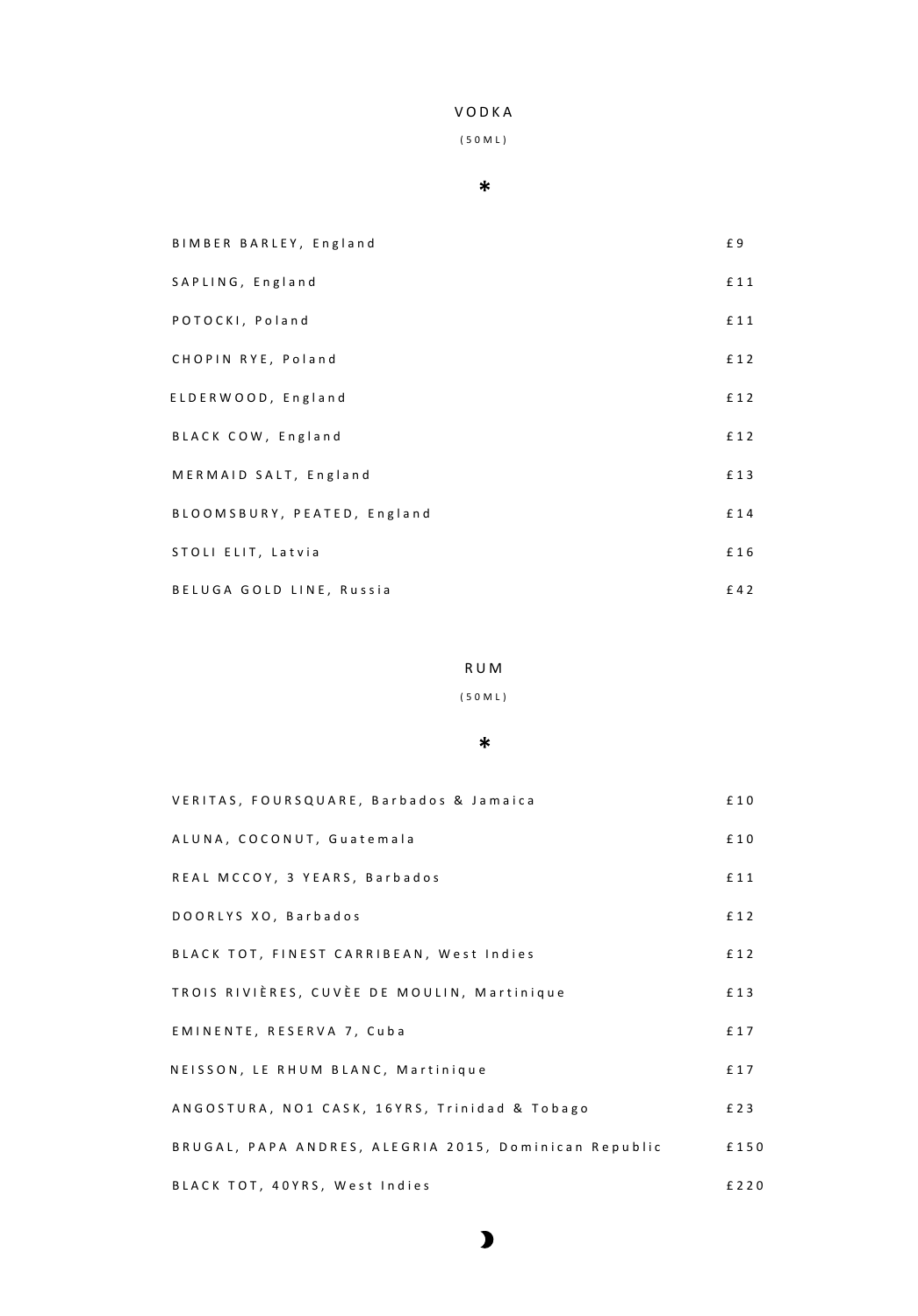## V O D K A

( 5 0 M L )

#### $\ast$

| BIMBER BARLEY, England      | £9  |
|-----------------------------|-----|
| SAPLING, England            | £11 |
| POTOCKI, Poland             | £11 |
| CHOPIN RYE, Poland          | £12 |
| ELDERWOOD, England          | £12 |
| BLACK COW, England          | £12 |
| MERMAID SALT, England       | £13 |
| BLOOMSBURY, PEATED, England | £14 |
| STOLI ELIT, Latvia          | £16 |
| BELUGA GOLD LINE, Russia    | £42 |

## R U M

#### ( 5 0 M L )

#### $\ast$

| VERITAS, FOURSQUARE, Barbados & Jamaica               | £10   |
|-------------------------------------------------------|-------|
| ALUNA, COCONUT, Guatemala                             | £10   |
| REAL MCCOY, 3 YEARS, Barbados                         | £11   |
| DOORLYS XO, Barbados                                  | £12   |
| BLACK TOT, FINEST CARRIBEAN, West Indies              | £12   |
| TROIS RIVIÈRES, CUVÈE DE MOULIN, Martinique           | £13   |
| EMINENTE, RESERVA 7, Cuba                             | £17   |
| NEISSON, LE RHUM BLANC, Martinique                    | £17   |
| ANGOSTURA, NO1 CASK, 16YRS, Trinidad & Tobago         | £ 2 3 |
| BRUGAL, PAPA ANDRES, ALEGRIA 2015, Dominican Republic | £150  |
| BLACK TOT, 40YRS, West Indies                         | £220  |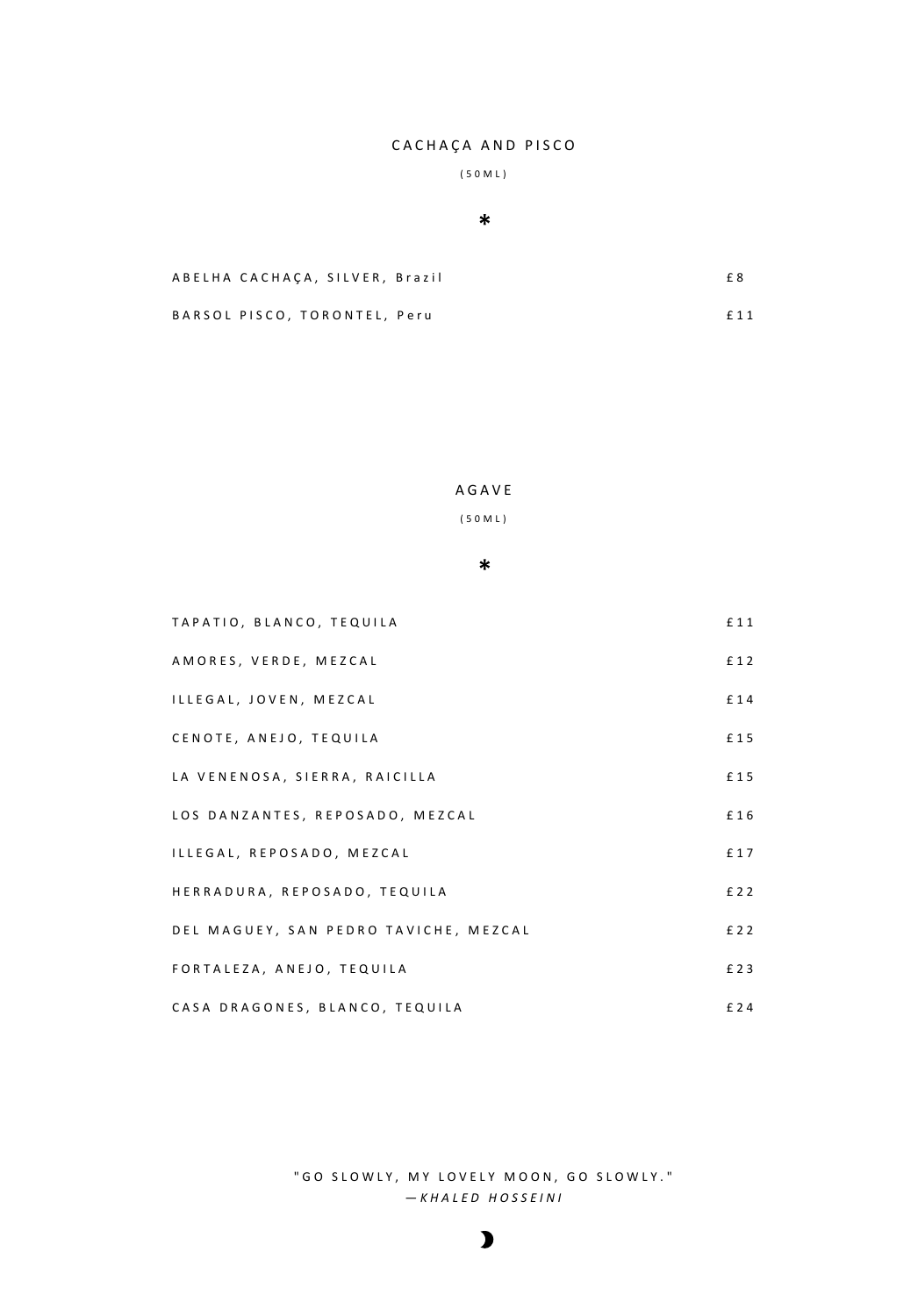## CACHAÇA AND PISCO

## ( 5 0 M L )

#### $\ast$

| ABELHA CACHACA, SILVER, Brazil | £8  |
|--------------------------------|-----|
| BARSOL PISCO, TORONTEL, Peru   | £11 |

A G A V E

( 5 0 M L )

#### $\ast$

| TAPATIO, BLANCO, TEQUILA              | £11   |
|---------------------------------------|-------|
| AMORES, VERDE, MEZCAL                 | £12   |
| ILLEGAL, JOVEN, MEZCAL                | £14   |
| CENOTE, ANEJO, TEQUILA                | £15   |
| LA VENENOSA, SIERRA, RAICILLA         | £15   |
| LOS DANZANTES, REPOSADO, MEZCAL       | £16   |
| ILLEGAL, REPOSADO, MEZCAL             | £17   |
| HERRADURA, REPOSADO, TEQUILA          | £ 2 2 |
| DEL MAGUEY, SAN PEDRO TAVICHE, MEZCAL | £ 2 2 |
| FORTALEZA, ANEJO, TEQUILA             | £23   |
| CASA DRAGONES, BLANCO, TEQUILA        | £24   |

" GO SLOWLY, MY LOVELY MOON, GO SLOWLY." *— K H A L E D H O S S E I N I*

## $\mathbf{L}$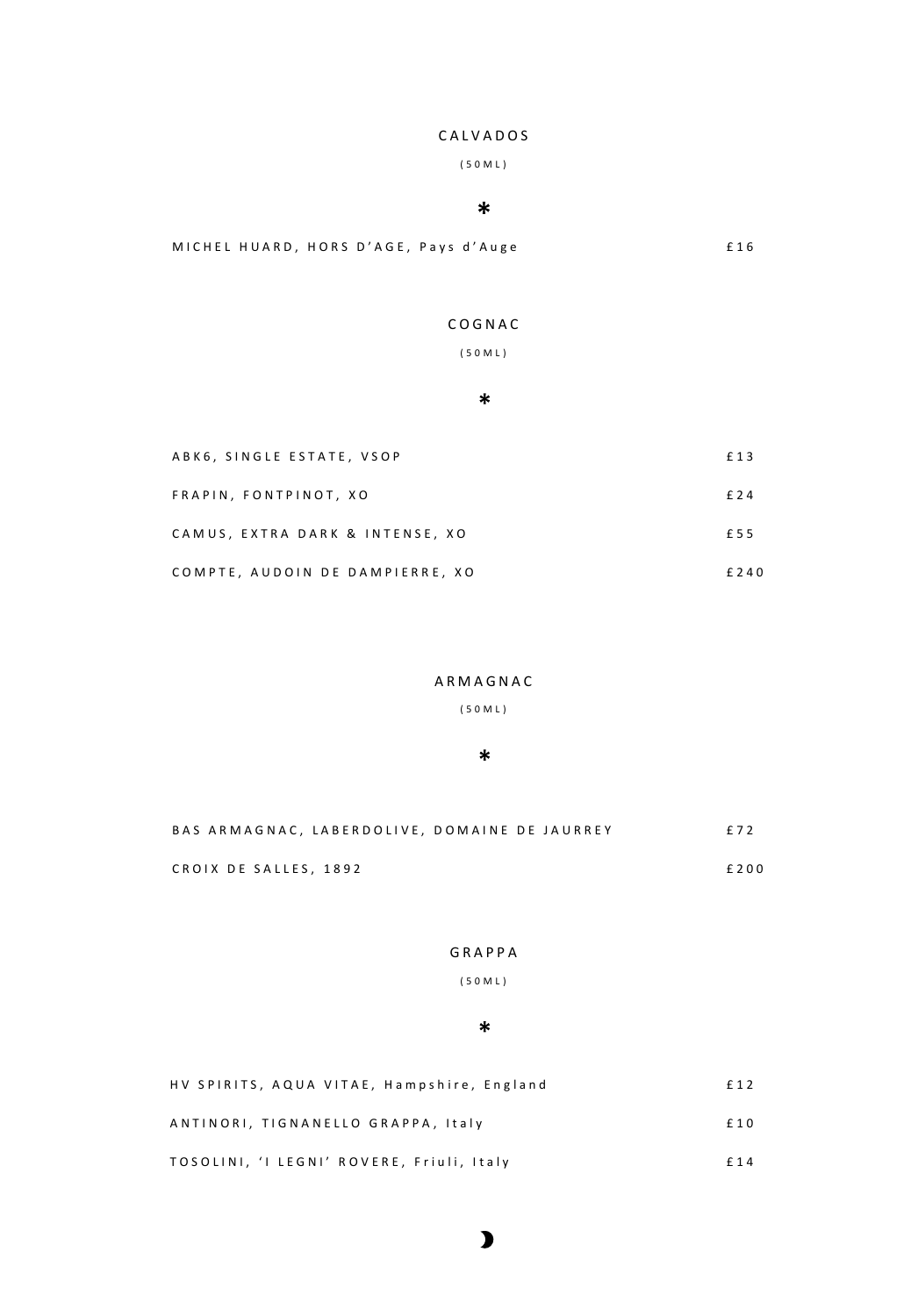## C A L V A D O S

( 5 0 M L )

## $\ast$

M I CHEL HUARD, HORS D'AGE, Pays d'Auge en anno 1920 ann an E16

#### C O G N A C

( 5 0 M L )

#### $\ast$

| ABK6, SINGLE ESTATE, VSOP       | £13  |
|---------------------------------|------|
| FRAPIN, FONTPINOT, XO           | £ 24 |
| CAMUS, EXTRA DARK & INTENSE, XO | £55  |
| COMPTE, AUDOIN DE DAMPIERRE, XO | £240 |

#### A R M A G N A C

( 5 0 M L )

#### $\ast$

| BAS ARMAGNAC. LABERDOLIVE. DOMAINE DE JAURREY |  | f 7 2 |
|-----------------------------------------------|--|-------|
| CROIX DE SALLES. 1892                         |  | £200  |

## G R A P P A

( 5 0 M L )

#### $\ast$

| HV SPIRITS, AQUA VITAE, Hampshire, England | £12  |
|--------------------------------------------|------|
| ANTINORI, TIGNANELLO GRAPPA, Italy         | £ 10 |
| TOSOLINI, 'I LEGNI' ROVERE, Friuli, Italy  | f 14 |

## $\mathbf{\mathbf{b}}$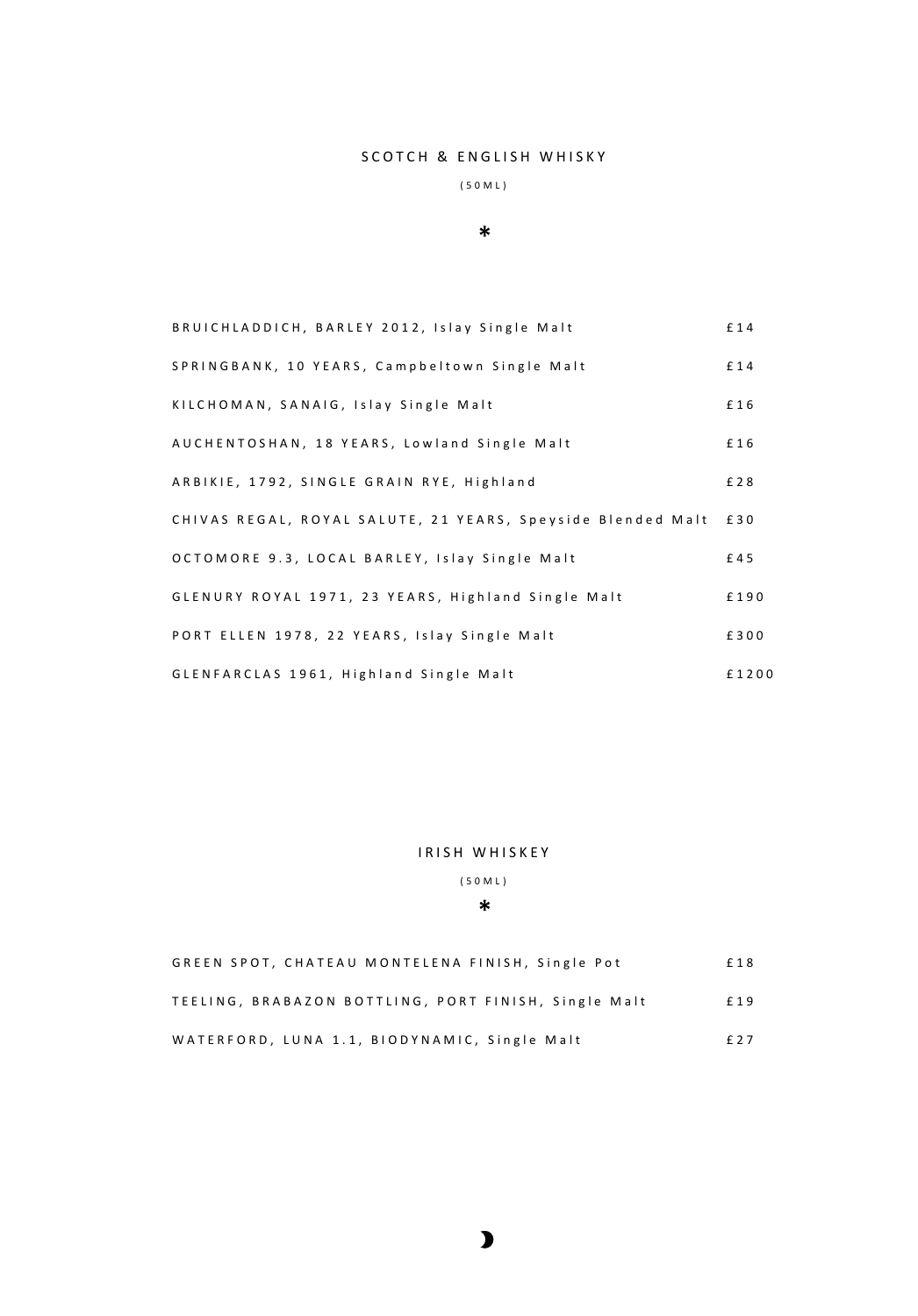## SCOTCH & ENGLISH WHISKY

#### $(50ML)$

### $\ast$

| BRUICHLADDICH, BARLEY 2012, Islay Single Malt               | £14   |
|-------------------------------------------------------------|-------|
| SPRINGBANK, 10 YEARS, Campbeltown Single Malt               | £14   |
| KILCHOMAN, SANAIG, Islay Single Malt                        | £16   |
| AUCHENTOSHAN, 18 YEARS, Lowland Single Malt                 | £16   |
| ARBIKIE, 1792, SINGLE GRAIN RYE, Highland                   | £ 28  |
| CHIVAS REGAL, ROYAL SALUTE, 21 YEARS, Speyside Blended Malt | £30   |
| OCTOMORE 9.3, LOCAL BARLEY, Islay Single Malt               | £45   |
| GLENURY ROYAL 1971, 23 YEARS, Highland Single Malt          | £190  |
| PORT ELLEN 1978, 22 YEARS, Islay Single Malt                | £300  |
| GLENFARCLAS 1961, Highland Single Malt                      | £1200 |

#### IRISH WHISKEY

## $(50ML)$

## $\ast$

| GREEN SPOT, CHATEAU MONTELENA FINISH, Single Pot     | £18     |
|------------------------------------------------------|---------|
| TEELING. BRABAZON BOTTLING. PORT FINISH. Single Malt | £19     |
| WATERFORD, LUNA 1.1, BIODYNAMIC, Single Malt         | $f$ 2 7 |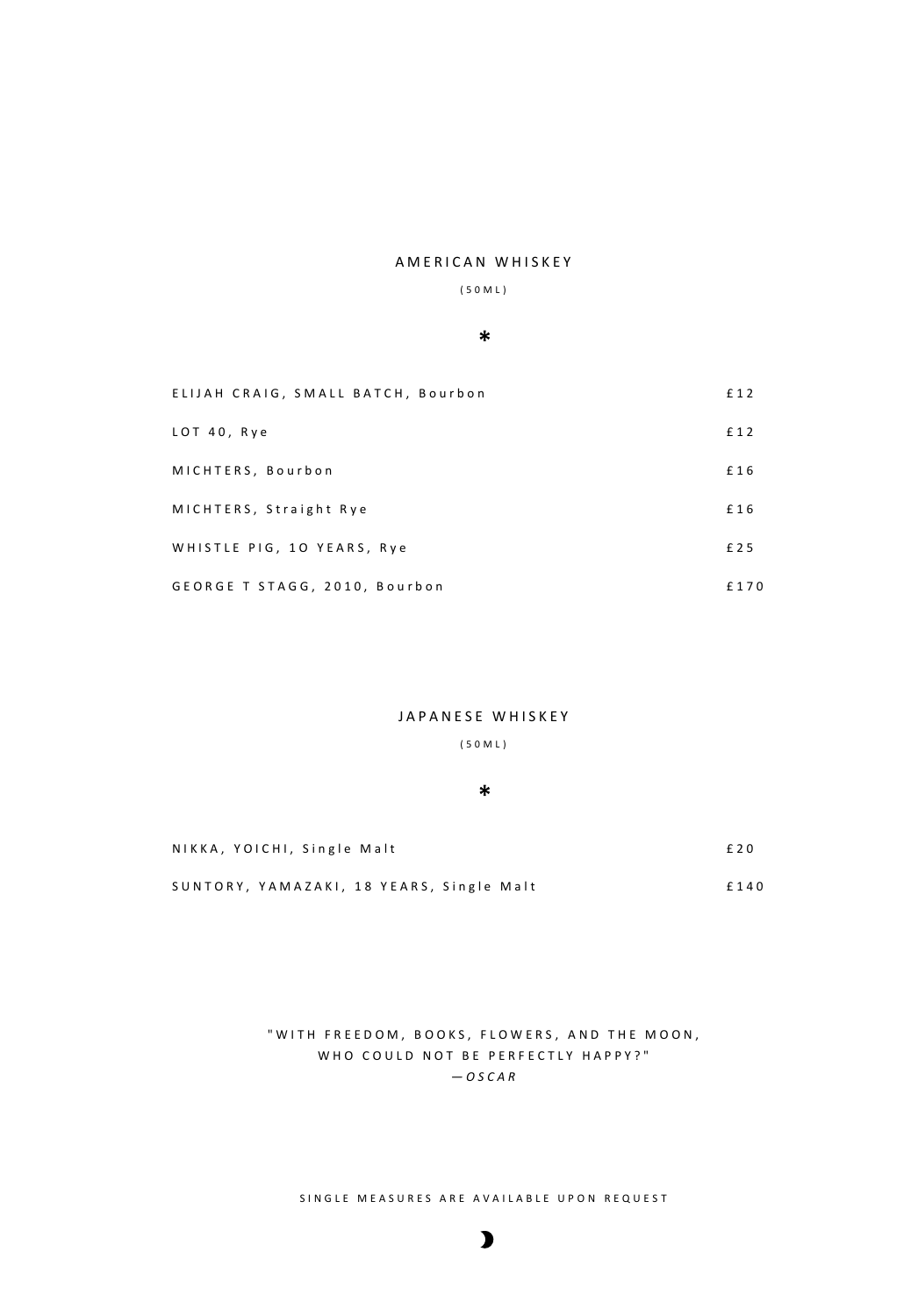### A MERICAN WHISKEY

#### ( 5 0 M L )

#### $\ast$

| ELIJAH CRAIG, SMALL BATCH, Bourbon | £12  |
|------------------------------------|------|
| LOT 40, Rye                        | £12  |
| MICHTERS, Bourbon                  | £16  |
| MICHTERS, Straight Rye             | £16  |
| WHISTLE PIG, 10 YEARS, Rye         | £25  |
| GEORGE T STAGG, 2010, Bourbon      | £170 |

## JAPANESE WHISKEY

#### ( 5 0 M L )

#### $\ast$

| NIKKA, YOICHI, Single Malt               | £ 2 0 |
|------------------------------------------|-------|
| SUNTORY, YAMAZAKI, 18 YEARS, Single Malt | £140  |

## " WITH FREEDOM, BOOKS, FLOWERS, AND THE MOON, WHO COULD NOT BE PERFECTLY HAPPY?" *— O S C A R*

SINGLE MEASURES ARE AVAILABLE UPON REQUEST

## $\mathbf{\mathbf{b}}$